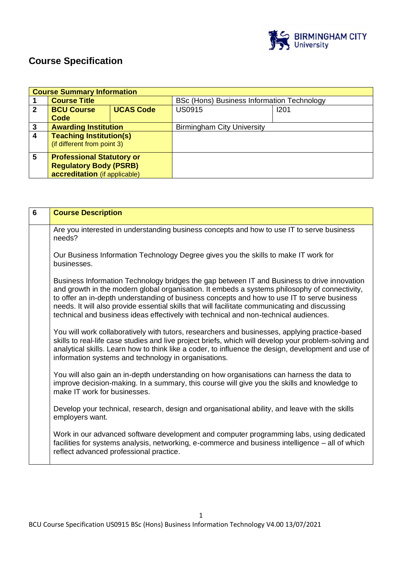

# **Course Specification**

|              | <b>Course Summary Information</b> |                  |                                            |      |
|--------------|-----------------------------------|------------------|--------------------------------------------|------|
|              | <b>Course Title</b>               |                  | BSc (Hons) Business Information Technology |      |
| $\mathbf{2}$ | <b>BCU Course</b>                 | <b>UCAS Code</b> | <b>US0915</b>                              | 1201 |
|              | Code                              |                  |                                            |      |
| 3            | <b>Awarding Institution</b>       |                  | <b>Birmingham City University</b>          |      |
| 4            | <b>Teaching Institution(s)</b>    |                  |                                            |      |
|              | (if different from point 3)       |                  |                                            |      |
| 5            | <b>Professional Statutory or</b>  |                  |                                            |      |
|              | <b>Regulatory Body (PSRB)</b>     |                  |                                            |      |
|              | accreditation (if applicable)     |                  |                                            |      |

| 6 | <b>Course Description</b>                                                                                                                                                                                                                                                                                                                                                                                                                                                             |
|---|---------------------------------------------------------------------------------------------------------------------------------------------------------------------------------------------------------------------------------------------------------------------------------------------------------------------------------------------------------------------------------------------------------------------------------------------------------------------------------------|
|   | Are you interested in understanding business concepts and how to use IT to serve business<br>needs?                                                                                                                                                                                                                                                                                                                                                                                   |
|   | Our Business Information Technology Degree gives you the skills to make IT work for<br>businesses.                                                                                                                                                                                                                                                                                                                                                                                    |
|   | Business Information Technology bridges the gap between IT and Business to drive innovation<br>and growth in the modern global organisation. It embeds a systems philosophy of connectivity,<br>to offer an in-depth understanding of business concepts and how to use IT to serve business<br>needs. It will also provide essential skills that will facilitate communicating and discussing<br>technical and business ideas effectively with technical and non-technical audiences. |
|   | You will work collaboratively with tutors, researchers and businesses, applying practice-based<br>skills to real-life case studies and live project briefs, which will develop your problem-solving and<br>analytical skills. Learn how to think like a coder, to influence the design, development and use of<br>information systems and technology in organisations.                                                                                                                |
|   | You will also gain an in-depth understanding on how organisations can harness the data to<br>improve decision-making. In a summary, this course will give you the skills and knowledge to<br>make IT work for businesses.                                                                                                                                                                                                                                                             |
|   | Develop your technical, research, design and organisational ability, and leave with the skills<br>employers want.                                                                                                                                                                                                                                                                                                                                                                     |
|   | Work in our advanced software development and computer programming labs, using dedicated<br>facilities for systems analysis, networking, e-commerce and business intelligence – all of which<br>reflect advanced professional practice.                                                                                                                                                                                                                                               |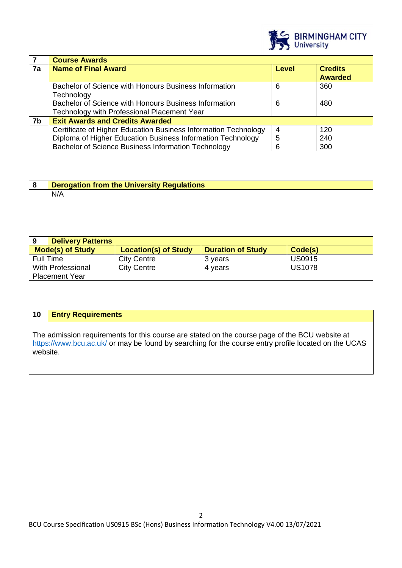

|    | <b>Course Awards</b>                                            |   |                |
|----|-----------------------------------------------------------------|---|----------------|
| 7a | <b>Name of Final Award</b><br>Level                             |   | <b>Credits</b> |
|    |                                                                 |   | <b>Awarded</b> |
|    | Bachelor of Science with Honours Business Information           | 6 | 360            |
|    | Technology                                                      |   |                |
|    | Bachelor of Science with Honours Business Information           | 6 | 480            |
|    | Technology with Professional Placement Year                     |   |                |
| 7b | <b>Exit Awards and Credits Awarded</b>                          |   |                |
|    | Certificate of Higher Education Business Information Technology | 4 | 120            |
|    | Diploma of Higher Education Business Information Technology     | 5 | 240            |
|    | Bachelor of Science Business Information Technology             | 6 | 300            |

| <b>Derogation from the University Regulations</b> |
|---------------------------------------------------|
| N/A                                               |

| <b>Delivery Patterns</b><br>9 |                             |                          |               |
|-------------------------------|-----------------------------|--------------------------|---------------|
| <b>Mode(s) of Study</b>       | <b>Location(s) of Study</b> | <b>Duration of Study</b> | Code(s)       |
| Full Time                     | <b>City Centre</b>          | 3 years                  | <b>US0915</b> |
| With Professional             | <b>City Centre</b>          | 4 vears                  | <b>US1078</b> |
| <b>Placement Year</b>         |                             |                          |               |

## **10 Entry Requirements**

The admission requirements for this course are stated on the course page of the BCU website at <https://www.bcu.ac.uk/> or may be found by searching for the course entry profile located on the UCAS website.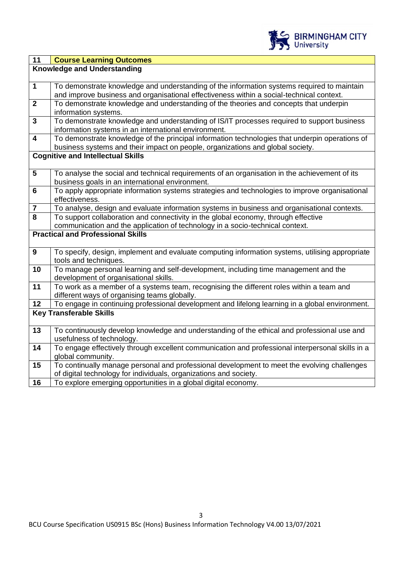

| $\overline{11}$                                                                                                           | <b>Course Learning Outcomes</b>                                                                  |  |
|---------------------------------------------------------------------------------------------------------------------------|--------------------------------------------------------------------------------------------------|--|
|                                                                                                                           | <b>Knowledge and Understanding</b>                                                               |  |
|                                                                                                                           |                                                                                                  |  |
| $\mathbf 1$                                                                                                               | To demonstrate knowledge and understanding of the information systems required to maintain       |  |
|                                                                                                                           | and improve business and organisational effectiveness within a social-technical context.         |  |
| $\overline{2}$                                                                                                            | To demonstrate knowledge and understanding of the theories and concepts that underpin            |  |
|                                                                                                                           | information systems.                                                                             |  |
| $\overline{\mathbf{3}}$                                                                                                   | To demonstrate knowledge and understanding of IS/IT processes required to support business       |  |
|                                                                                                                           | information systems in an international environment.                                             |  |
| $\overline{\mathbf{4}}$                                                                                                   | To demonstrate knowledge of the principal information technologies that underpin operations of   |  |
|                                                                                                                           | business systems and their impact on people, organizations and global society.                   |  |
|                                                                                                                           | <b>Cognitive and Intellectual Skills</b>                                                         |  |
|                                                                                                                           |                                                                                                  |  |
| $\overline{\mathbf{5}}$                                                                                                   | To analyse the social and technical requirements of an organisation in the achievement of its    |  |
|                                                                                                                           | business goals in an international environment.                                                  |  |
| $6\phantom{a}$                                                                                                            | To apply appropriate information systems strategies and technologies to improve organisational   |  |
|                                                                                                                           | effectiveness.                                                                                   |  |
| $\overline{7}$<br>8                                                                                                       | To analyse, design and evaluate information systems in business and organisational contexts.     |  |
|                                                                                                                           | To support collaboration and connectivity in the global economy, through effective               |  |
| communication and the application of technology in a socio-technical context.<br><b>Practical and Professional Skills</b> |                                                                                                  |  |
|                                                                                                                           |                                                                                                  |  |
| $\boldsymbol{9}$                                                                                                          | To specify, design, implement and evaluate computing information systems, utilising appropriate  |  |
|                                                                                                                           | tools and techniques.                                                                            |  |
| 10                                                                                                                        | To manage personal learning and self-development, including time management and the              |  |
|                                                                                                                           | development of organisational skills.                                                            |  |
| 11                                                                                                                        | To work as a member of a systems team, recognising the different roles within a team and         |  |
|                                                                                                                           | different ways of organising teams globally.                                                     |  |
| 12                                                                                                                        | To engage in continuing professional development and lifelong learning in a global environment.  |  |
|                                                                                                                           | <b>Key Transferable Skills</b>                                                                   |  |
|                                                                                                                           |                                                                                                  |  |
| 13                                                                                                                        | To continuously develop knowledge and understanding of the ethical and professional use and      |  |
|                                                                                                                           | usefulness of technology.                                                                        |  |
| 14                                                                                                                        | To engage effectively through excellent communication and professional interpersonal skills in a |  |
|                                                                                                                           | global community.                                                                                |  |
| 15                                                                                                                        | To continually manage personal and professional development to meet the evolving challenges      |  |
|                                                                                                                           | of digital technology for individuals, organizations and society.                                |  |
| 16                                                                                                                        | To explore emerging opportunities in a global digital economy.                                   |  |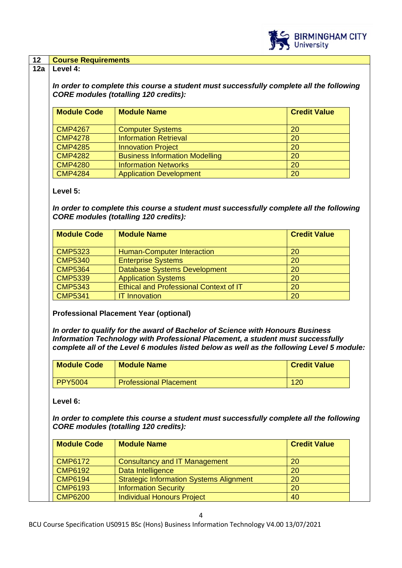

#### **12 Course Requirements**

#### **12a Level 4:**

*In order to complete this course a student must successfully complete all the following CORE modules (totalling 120 credits):*

| <b>Module Code</b> | <b>Module Name</b>                    | <b>Credit Value</b> |
|--------------------|---------------------------------------|---------------------|
| <b>CMP4267</b>     | <b>Computer Systems</b>               | 20                  |
| <b>CMP4278</b>     | <b>Information Retrieval</b>          | 20                  |
| <b>CMP4285</b>     | <b>Innovation Project</b>             | 20                  |
| <b>CMP4282</b>     | <b>Business Information Modelling</b> | 20                  |
| <b>CMP4280</b>     | <b>Information Networks</b>           | <b>20</b>           |
| <b>CMP4284</b>     | <b>Application Development</b>        | 20                  |

#### **Level 5:**

*In order to complete this course a student must successfully complete all the following CORE modules (totalling 120 credits):*

| <b>Module Code</b> | <b>Module Name</b>                            | <b>Credit Value</b> |
|--------------------|-----------------------------------------------|---------------------|
| <b>CMP5323</b>     | Human-Computer Interaction                    | 20                  |
| <b>CMP5340</b>     | <b>Enterprise Systems</b>                     | 20                  |
| <b>CMP5364</b>     | Database Systems Development                  | 20                  |
| <b>CMP5339</b>     | <b>Application Systems</b>                    | 20                  |
| <b>CMP5343</b>     | <b>Ethical and Professional Context of IT</b> | 20                  |
| <b>CMP5341</b>     | <b>IT Innovation</b>                          | 20                  |

**Professional Placement Year (optional)**

*In order to qualify for the award of Bachelor of Science with Honours Business Information Technology with Professional Placement, a student must successfully complete all of the Level 6 modules listed below as well as the following Level 5 module:*

| <b>Module Code</b> | <b>Module Name</b>            | <b>Credit Value</b> |
|--------------------|-------------------------------|---------------------|
| <b>PPY5004</b>     | <b>Professional Placement</b> | 120                 |

**Level 6:**

*In order to complete this course a student must successfully complete all the following CORE modules (totalling 120 credits):*

| <b>Module Code</b> | <b>Module Name</b>                             | <b>Credit Value</b> |
|--------------------|------------------------------------------------|---------------------|
| <b>CMP6172</b>     | <b>Consultancy and IT Management</b>           | 20                  |
| <b>CMP6192</b>     | Data Intelligence                              | 20                  |
| <b>CMP6194</b>     | <b>Strategic Information Systems Alignment</b> | 20                  |
| <b>CMP6193</b>     | <b>Information Security</b>                    | 20                  |
| <b>CMP6200</b>     | <b>Individual Honours Project</b>              | 40                  |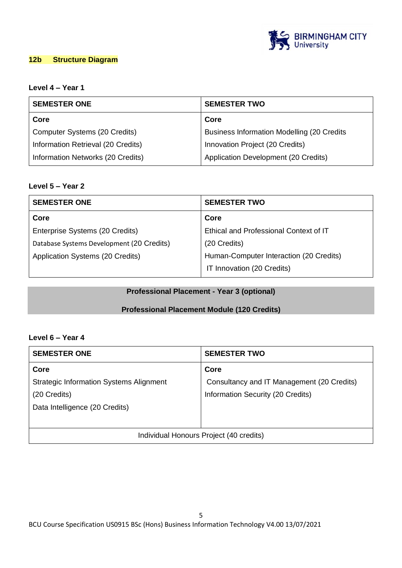

## **12b Structure Diagram**

# **Level 4 – Year 1**

| <b>SEMESTER ONE</b>                | <b>SEMESTER TWO</b>                                |  |
|------------------------------------|----------------------------------------------------|--|
| Core                               | Core                                               |  |
| Computer Systems (20 Credits)      | <b>Business Information Modelling (20 Credits)</b> |  |
| Information Retrieval (20 Credits) | Innovation Project (20 Credits)                    |  |
| Information Networks (20 Credits)  | Application Development (20 Credits)               |  |

## **Level 5 – Year 2**

| <b>SEMESTER ONE</b>                       | <b>SEMESTER TWO</b>                     |  |
|-------------------------------------------|-----------------------------------------|--|
| Core                                      | Core                                    |  |
| Enterprise Systems (20 Credits)           | Ethical and Professional Context of IT  |  |
| Database Systems Development (20 Credits) | (20 Credits)                            |  |
| Application Systems (20 Credits)          | Human-Computer Interaction (20 Credits) |  |
|                                           | IT Innovation (20 Credits)              |  |

## **Professional Placement - Year 3 (optional)**

## **Professional Placement Module (120 Credits)**

# **Level 6 – Year 4**

| <b>SEMESTER ONE</b>                            | <b>SEMESTER TWO</b>                        |
|------------------------------------------------|--------------------------------------------|
| Core                                           | Core                                       |
| <b>Strategic Information Systems Alignment</b> | Consultancy and IT Management (20 Credits) |
| (20 Credits)                                   | Information Security (20 Credits)          |
| Data Intelligence (20 Credits)                 |                                            |
|                                                |                                            |
| Individual Honours Project (40 credits)        |                                            |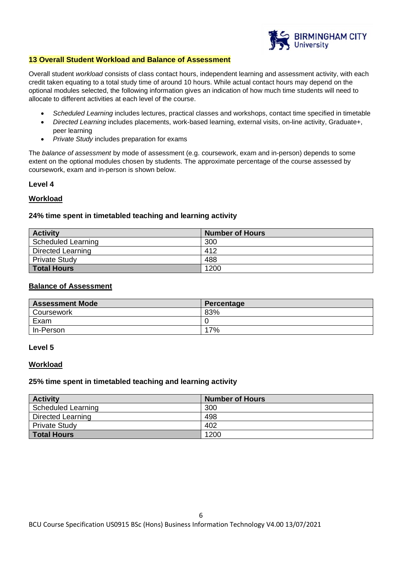

#### **13 Overall Student Workload and Balance of Assessment**

Overall student *workload* consists of class contact hours, independent learning and assessment activity, with each credit taken equating to a total study time of around 10 hours. While actual contact hours may depend on the optional modules selected, the following information gives an indication of how much time students will need to allocate to different activities at each level of the course.

- *Scheduled Learning* includes lectures, practical classes and workshops, contact time specified in timetable
- *Directed Learning* includes placements, work-based learning, external visits, on-line activity, Graduate+, peer learning
- *Private Study* includes preparation for exams

The *balance of assessment* by mode of assessment (e.g. coursework, exam and in-person) depends to some extent on the optional modules chosen by students. The approximate percentage of the course assessed by coursework, exam and in-person is shown below.

#### **Level 4**

#### **Workload**

#### **24% time spent in timetabled teaching and learning activity**

| <b>Activity</b>           | <b>Number of Hours</b> |
|---------------------------|------------------------|
| <b>Scheduled Learning</b> | 300                    |
| <b>Directed Learning</b>  | 412                    |
| <b>Private Study</b>      | 488                    |
| <b>Total Hours</b>        | 1200                   |

#### **Balance of Assessment**

| <b>Assessment Mode</b> | Percentage |
|------------------------|------------|
| Coursework             | 83%        |
| Exam                   |            |
| In-Person              | 17%        |

#### **Level 5**

#### **Workload**

#### **25% time spent in timetabled teaching and learning activity**

| <b>Activity</b>           | <b>Number of Hours</b> |
|---------------------------|------------------------|
| <b>Scheduled Learning</b> | 300                    |
| Directed Learning         | 498                    |
| <b>Private Study</b>      | 402                    |
| Total Hours               | 1200                   |